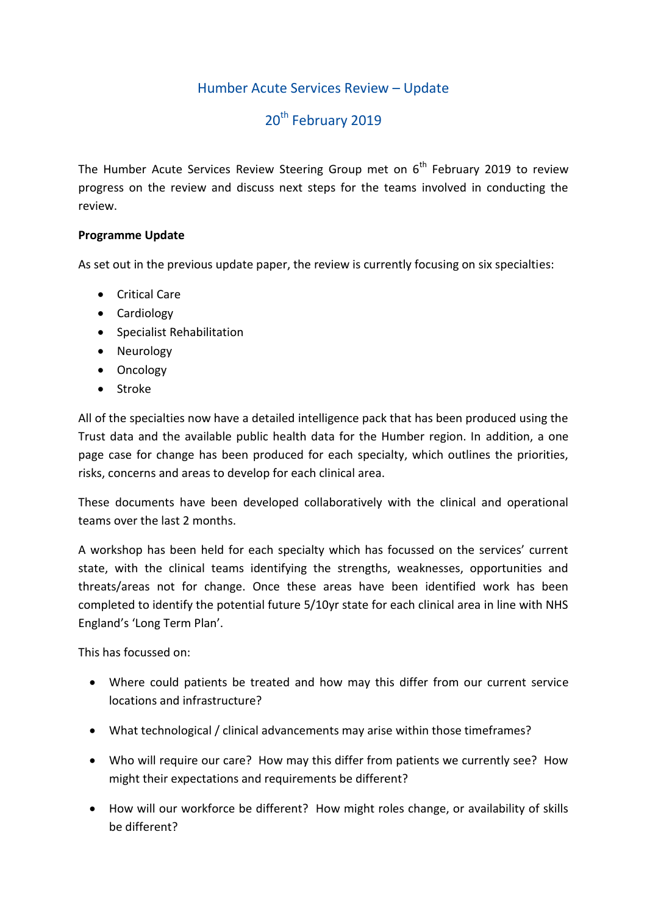# Humber Acute Services Review – Update

# 20<sup>th</sup> February 2019

The Humber Acute Services Review Steering Group met on  $6<sup>th</sup>$  February 2019 to review progress on the review and discuss next steps for the teams involved in conducting the review.

## **Programme Update**

As set out in the previous update paper, the review is currently focusing on six specialties:

- Critical Care
- Cardiology
- Specialist Rehabilitation
- Neurology
- Oncology
- Stroke

All of the specialties now have a detailed intelligence pack that has been produced using the Trust data and the available public health data for the Humber region. In addition, a one page case for change has been produced for each specialty, which outlines the priorities, risks, concerns and areas to develop for each clinical area.

These documents have been developed collaboratively with the clinical and operational teams over the last 2 months.

A workshop has been held for each specialty which has focussed on the services' current state, with the clinical teams identifying the strengths, weaknesses, opportunities and threats/areas not for change. Once these areas have been identified work has been completed to identify the potential future 5/10yr state for each clinical area in line with NHS England's 'Long Term Plan'.

This has focussed on:

- Where could patients be treated and how may this differ from our current service locations and infrastructure?
- What technological / clinical advancements may arise within those timeframes?
- Who will require our care? How may this differ from patients we currently see? How might their expectations and requirements be different?
- How will our workforce be different? How might roles change, or availability of skills be different?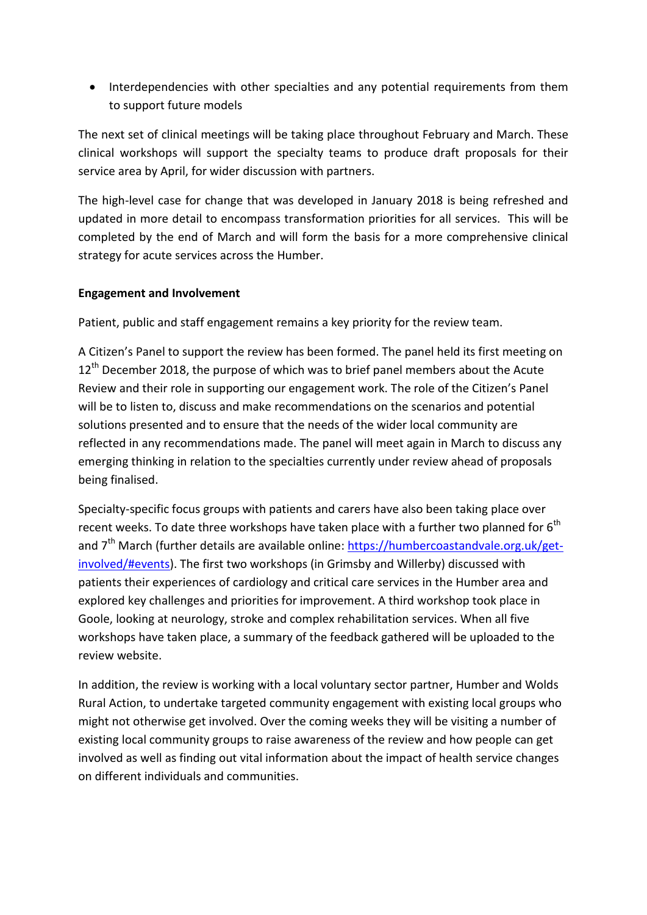• Interdependencies with other specialties and any potential requirements from them to support future models

The next set of clinical meetings will be taking place throughout February and March. These clinical workshops will support the specialty teams to produce draft proposals for their service area by April, for wider discussion with partners.

The high-level case for change that was developed in January 2018 is being refreshed and updated in more detail to encompass transformation priorities for all services. This will be completed by the end of March and will form the basis for a more comprehensive clinical strategy for acute services across the Humber.

### **Engagement and Involvement**

Patient, public and staff engagement remains a key priority for the review team.

A Citizen's Panel to support the review has been formed. The panel held its first meeting on  $12<sup>th</sup>$  December 2018, the purpose of which was to brief panel members about the Acute Review and their role in supporting our engagement work. The role of the Citizen's Panel will be to listen to, discuss and make recommendations on the scenarios and potential solutions presented and to ensure that the needs of the wider local community are reflected in any recommendations made. The panel will meet again in March to discuss any emerging thinking in relation to the specialties currently under review ahead of proposals being finalised.

Specialty-specific focus groups with patients and carers have also been taking place over recent weeks. To date three workshops have taken place with a further two planned for  $6<sup>th</sup>$ and  $7<sup>th</sup>$  March (further details are available online: [https://humbercoastandvale.org.uk/get](https://humbercoastandvale.org.uk/get-involved/#events)[involved/#events\)](https://humbercoastandvale.org.uk/get-involved/#events). The first two workshops (in Grimsby and Willerby) discussed with patients their experiences of cardiology and critical care services in the Humber area and explored key challenges and priorities for improvement. A third workshop took place in Goole, looking at neurology, stroke and complex rehabilitation services. When all five workshops have taken place, a summary of the feedback gathered will be uploaded to the review website.

In addition, the review is working with a local voluntary sector partner, Humber and Wolds Rural Action, to undertake targeted community engagement with existing local groups who might not otherwise get involved. Over the coming weeks they will be visiting a number of existing local community groups to raise awareness of the review and how people can get involved as well as finding out vital information about the impact of health service changes on different individuals and communities.